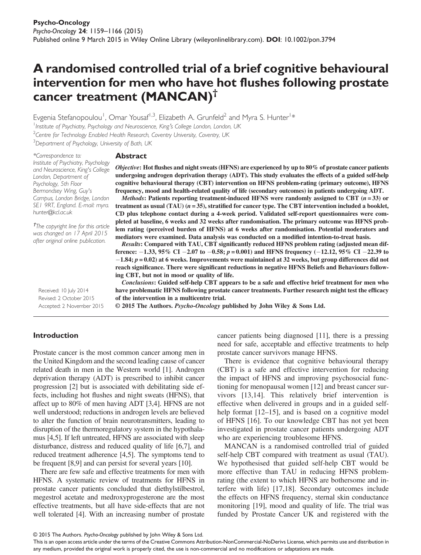# A randomised controlled trial of a brief cognitive behavioural intervention for men who have hot flushes following prostate cancer treatment (MANCAN)<sup>†</sup>

Evgenia Stefanopoulou<sup>1</sup>, Omar Yousaf<sup>1,3</sup>, Elizabeth A. Grunfeld<sup>2</sup> and Myra S. Hunter<sup>1</sup>\* <sup>1</sup> Institute of Psychiatry, Psychology and Neuroscience, King's College London, London, UK <sup>2</sup>Centre for Technology Enabled Health Research, Coventry University, Coventry, UK

<sup>3</sup>Department of Psychology, University of Bath, UK

\*Correspondence to: Institute of Psychiatry, Psychology and Neuroscience, King's College London, Department of Psychology, 5th Floor Bermondsey Wing, Guy's Campus, London Bridge, London SE1 9RT, England. E-mail: myra. hunter@kcl.ac.uk

† The copyright line for this article was changed on 17 April 2015 after original online publication.

#### Abstract

Objective: Hot flushes and night sweats (HFNS) are experienced by up to 80% of prostate cancer patients undergoing androgen deprivation therapy (ADT). This study evaluates the effects of a guided self-help cognitive behavioural therapy (CBT) intervention on HFNS problem-rating (primary outcome), HFNS frequency, mood and health-related quality of life (secondary outcomes) in patients undergoing ADT.

*Methods*: Patients reporting treatment-induced HFNS were randomly assigned to CBT  $(n=33)$  or treatment as usual (TAU)  $(n=35)$ , stratified for cancer type. The CBT intervention included a booklet, CD plus telephone contact during a 4-week period. Validated self-report questionnaires were completed at baseline, 6 weeks and 32 weeks after randomisation. The primary outcome was HFNS problem rating (perceived burden of HFNS) at 6 weeks after randomisation. Potential moderators and mediators were examined. Data analysis was conducted on a modified intention-to-treat basis.

Results: Compared with TAU, CBT significantly reduced HFNS problem rating (adjusted mean difference:  $-1.33$ , 95% CI  $-2.07$  to  $-0.58$ ;  $p = 0.001$ ) and HFNS frequency  $(-12.12, 95\%$  CI  $-22.39$  to  $-1.84$ ;  $p = 0.02$ ) at 6 weeks. Improvements were maintained at 32 weeks, but group differences did not reach significance. There were significant reductions in negative HFNS Beliefs and Behaviours following CBT, but not in mood or quality of life.

Received: 10 July 2014 Revised: 2 October 2015 Accepted: 2 November 2015

Conclusions: Guided self-help CBT appears to be a safe and effective brief treatment for men who have problematic HFNS following prostate cancer treatments. Further research might test the efficacy of the intervention in a multicentre trial.

© 2015 The Authors. Psycho-Oncology published by John Wiley & Sons Ltd.

#### Introduction

Prostate cancer is the most common cancer among men in the United Kingdom and the second leading cause of cancer related death in men in the Western world [1]. Androgen deprivation therapy (ADT) is prescribed to inhibit cancer progression [2] but is associated with debilitating side effects, including hot flushes and night sweats (HFNS), that affect up to 80% of men having ADT [3,4]. HFNS are not well understood; reductions in androgen levels are believed to alter the function of brain neurotransmitters, leading to disruption of the thermoregulatory system in the hypothalamus [4,5]. If left untreated, HFNS are associated with sleep disturbance, distress and reduced quality of life [6,7], and reduced treatment adherence [4,5]. The symptoms tend to be frequent [8,9] and can persist for several years [10].

There are few safe and effective treatments for men with HFNS. A systematic review of treatments for HFNS in prostate cancer patients concluded that diethylstilbestrol, megestrol acetate and medroxyprogesterone are the most effective treatments, but all have side-effects that are not well tolerated [4]. With an increasing number of prostate

cancer patients being diagnosed [11], there is a pressing need for safe, acceptable and effective treatments to help prostate cancer survivors manage HFNS.

There is evidence that cognitive behavioural therapy (CBT) is a safe and effective intervention for reducing the impact of HFNS and improving psychosocial functioning for menopausal women [12] and breast cancer survivors [13,14]. This relatively brief intervention is effective when delivered in groups and in a guided selfhelp format [12–15], and is based on a cognitive model of HFNS [16]. To our knowledge CBT has not yet been investigated in prostate cancer patients undergoing ADT who are experiencing troublesome HFNS.

MANCAN is a randomised controlled trial of guided self-help CBT compared with treatment as usual (TAU). We hypothesised that guided self-help CBT would be more effective than TAU in reducing HFNS problemrating (the extent to which HFNS are bothersome and interfere with life) [17,18]. Secondary outcomes include the effects on HFNS frequency, sternal skin conductance monitoring [19], mood and quality of life. The trial was funded by Prostate Cancer UK and registered with the

© 2015 The Authors. Psycho-Oncology published by John Wiley & Sons Ltd.

This is an open access article under the terms of the [Creative Commons Attribution-NonCommercial-NoDerivs](http://creativecommons.org/licenses/by-nc-nd/4.0/) License, which permits use and distribution in any medium, provided the original work is properly cited, the use is non-commercial and no modifications or adaptations are made.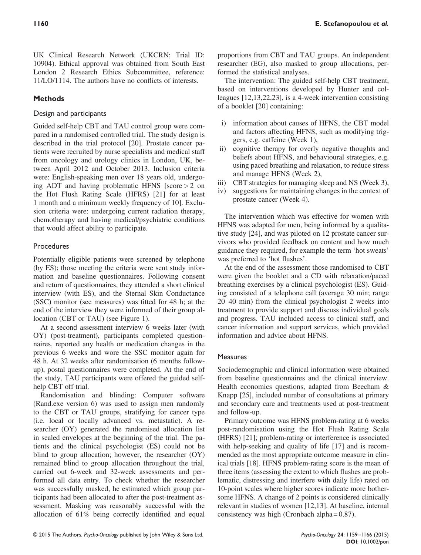UK Clinical Research Network (UKCRN; Trial ID: 10904). Ethical approval was obtained from South East London 2 Research Ethics Subcommittee, reference: 11/LO/1114. The authors have no conflicts of interests.

# **Methods**

## Design and participants

Guided self-help CBT and TAU control group were compared in a randomised controlled trial. The study design is described in the trial protocol [20]. Prostate cancer patients were recruited by nurse specialists and medical staff from oncology and urology clinics in London, UK, between April 2012 and October 2013. Inclusion criteria were: English-speaking men over 18 years old, undergoing ADT and having problematic HFNS  $|score| > 2$  on the Hot Flush Rating Scale (HFRS) [21] for at least 1 month and a minimum weekly frequency of 10]. Exclusion criteria were: undergoing current radiation therapy, chemotherapy and having medical/psychiatric conditions that would affect ability to participate.

# **Procedures**

Potentially eligible patients were screened by telephone (by ES); those meeting the criteria were sent study information and baseline questionnaires. Following consent and return of questionnaires, they attended a short clinical interview (with ES), and the Sternal Skin Conductance (SSC) monitor (see measures) was fitted for 48 h; at the end of the interview they were informed of their group allocation (CBT or TAU) (see Figure 1).

At a second assessment interview 6 weeks later (with OY) (post-treatment), participants completed questionnaires, reported any health or medication changes in the previous 6 weeks and wore the SSC monitor again for 48 h. At 32 weeks after randomisation (6 months followup), postal questionnaires were completed. At the end of the study, TAU participants were offered the guided selfhelp CBT off trial.

Randomisation and blinding: Computer software (Rand.exe version 6) was used to assign men randomly to the CBT or TAU groups, stratifying for cancer type (i.e. local or locally advanced vs. metastatic). A researcher (OY) generated the randomised allocation list in sealed envelopes at the beginning of the trial. The patients and the clinical psychologist (ES) could not be blind to group allocation; however, the researcher (OY) remained blind to group allocation throughout the trial, carried out 6-week and 32-week assessments and performed all data entry. To check whether the researcher was successfully masked, he estimated which group participants had been allocated to after the post-treatment assessment. Masking was reasonably successful with the allocation of 61% being correctly identified and equal

proportions from CBT and TAU groups. An independent researcher (EG), also masked to group allocations, performed the statistical analyses.

The intervention: The guided self-help CBT treatment, based on interventions developed by Hunter and colleagues [12,13,22,23], is a 4-week intervention consisting of a booklet [20] containing:

- i) information about causes of HFNS, the CBT model and factors affecting HFNS, such as modifying triggers, e.g. caffeine (Week 1),
- ii) cognitive therapy for overly negative thoughts and beliefs about HFNS, and behavioural strategies, e.g. using paced breathing and relaxation, to reduce stress and manage HFNS (Week 2),
- iii) CBT strategies for managing sleep and NS (Week 3),
- iv) suggestions for maintaining changes in the context of prostate cancer (Week 4).

The intervention which was effective for women with HFNS was adapted for men, being informed by a qualitative study [24], and was piloted on 12 prostate cancer survivors who provided feedback on content and how much guidance they required, for example the term 'hot sweats' was preferred to 'hot flushes'.

At the end of the assessment those randomised to CBT were given the booklet and a CD with relaxation/paced breathing exercises by a clinical psychologist (ES). Guiding consisted of a telephone call (average 30 min; range 20–40 min) from the clinical psychologist 2 weeks into treatment to provide support and discuss individual goals and progress. TAU included access to clinical staff, and cancer information and support services, which provided information and advice about HFNS.

# **Measures**

Sociodemographic and clinical information were obtained from baseline questionnaires and the clinical interview. Health economics questions, adapted from Beecham & Knapp [25], included number of consultations at primary and secondary care and treatments used at post-treatment and follow-up.

Primary outcome was HFNS problem-rating at 6 weeks post-randomisation using the Hot Flush Rating Scale (HFRS) [21]; problem-rating or interference is associated with help-seeking and quality of life [17] and is recommended as the most appropriate outcome measure in clinical trials [18]. HFNS problem-rating score is the mean of three items (assessing the extent to which flushes are problematic, distressing and interfere with daily life) rated on 10-point scales where higher scores indicate more bothersome HFNS. A change of 2 points is considered clinically relevant in studies of women [12,13]. At baseline, internal consistency was high (Cronbach alpha  $= 0.87$ ).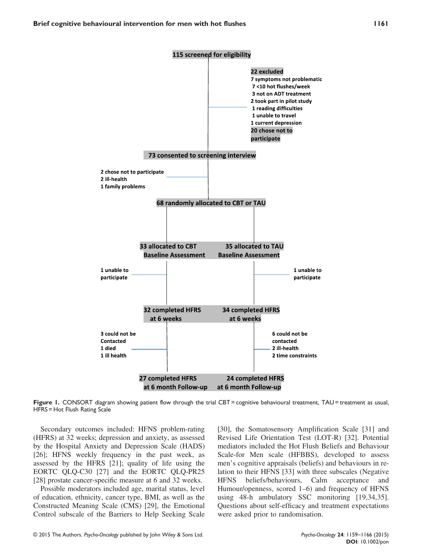

Figure 1. CONSORT diagram showing patient flow through the trial CBT = cognitive behavioural treatment, TAU = treatment as usual, HFRS = Hot Flush Rating Scale

Secondary outcomes included: HFNS problem-rating (HFRS) at 32 weeks; depression and anxiety, as assessed by the Hospital Anxiety and Depression Scale (HADS) [26]; HFNS weekly frequency in the past week, as assessed by the HFRS [21]; quality of life using the EORTC QLQ-C30 [27] and the EORTC QLQ-PR25 [28] prostate cancer-specific measure at 6 and 32 weeks.

Possible moderators included age, marital status, level of education, ethnicity, cancer type, BMI, as well as the Constructed Meaning Scale (CMS) [29], the Emotional Control subscale of the Barriers to Help Seeking Scale [30], the Somatosensory Amplification Scale [31] and Revised Life Orientation Test (LOT-R) [32]. Potential mediators included the Hot Flush Beliefs and Behaviour Scale-for Men scale (HFBBS), developed to assess men's cognitive appraisals (beliefs) and behaviours in relation to their HFNS [33] with three subscales (Negative HFNS beliefs/behaviours, Calm acceptance and Humour/openness, scored 1–6) and frequency of HFNS using 48-h ambulatory SSC monitoring [19,34,35]. Questions about self-efficacy and treatment expectations were asked prior to randomisation.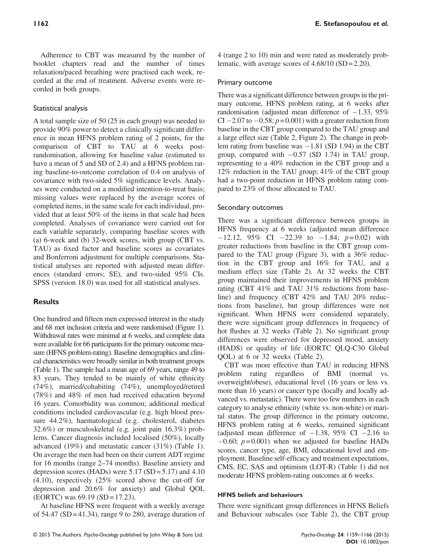Adherence to CBT was measured by the number of booklet chapters read and the number of times relaxation/paced breathing were practised each week, recorded at the end of treatment. Adverse events were recorded in both groups.

## Statistical analysis

A total sample size of 50 (25 in each group) was needed to provide 90% power to detect a clinically significant difference in mean HFNS problem rating of 2 points, for the comparison of CBT to TAU at 6 weeks postrandomisation, allowing for baseline value (estimated to have a mean of 5 and SD of 2.4) and a HFNS problem rating baseline-to-outcome correlation of 0.4 on analysis of covariance with two-sided 5% significance levels. Analyses were conducted on a modified intention-to-treat basis; missing values were replaced by the average scores of completed items, in the same scale for each individual, provided that at least 50% of the items in that scale had been completed. Analyses of covariance were carried out for each variable separately, comparing baseline scores with (a) 6-week and (b) 32-week scores, with group (CBT vs. TAU) as fixed factor and baseline scores as covariates and Bonferroni adjustment for multiple comparisons. Statistical analyses are reported with adjusted mean differences (standard errors; SE), and two-sided 95% CIs. SPSS (version 18.0) was used for all statistical analyses.

# **Results**

One hundred and fifteen men expressed interest in the study and 68 met inclusion criteria and were randomised (Figure 1). Withdrawal rates were minimal at 6 weeks, and complete data were available for 66 participants for the primary outcome measure (HFNS problem-rating). Baseline demographics and clinical characteristics were broadly similar in both treatment groups (Table 1). The sample had a mean age of 69 years, range 49 to 83 years. They tended to be mainly of white ethnicity (74%), married/cohabiting (74%), unemployed/retired (78%) and 48% of men had received education beyond 16 years. Comorbidity was common; additional medical conditions included cardiovascular (e.g. high blood pressure 44.2%), haematological (e.g. cholesterol, diabetes 32.6%) or musculoskeletal (e.g. joint pain 16.3%) problems. Cancer diagnosis included localised (50%), locally advanced (19%) and metastatic cancer (31%) (Table 1). On average the men had been on their current ADT regime for 16 months (range 2–74 months). Baseline anxiety and depression scores (HADs) were  $5.17$  (SD =  $5.17$ ) and  $4.10$ (4.10), respectively (25% scored above the cut-off for depression and 20.6% for anxiety) and Global QOL (EORTC) was 69.19 (SD = 17.23).

At baseline HFNS were frequent with a weekly average of  $54.47$  (SD = 41.34), range 9 to 280, average duration of

## Primary outcome

There was a significant difference between groups in the primary outcome, HFNS problem rating, at 6 weeks after randomisation (adjusted mean difference of  $-1.33$ , 95% CI  $-2.07$  to  $-0.58$ ;  $p = 0.001$ ) with a greater reduction from baseline in the CBT group compared to the TAU group and a large effect size (Table 2, Figure 2). The change in problem rating from baseline was  $-1.81$  (SD 1.94) in the CBT group, compared with  $-0.57$  (SD 1.74) in TAU group, representing to a 40% reduction in the CBT group and a 12% reduction in the TAU group; 41% of the CBT group had a two-point reduction in HFNS problem rating compared to 23% of those allocated to TAU.

### Secondary outcomes

There was a significant difference between groups in HFNS frequency at 6 weeks (adjusted mean difference  $-12.12$ , 95% CI  $-22.39$  to  $-1.84$ ;  $p=0.02$ ) with greater reductions from baseline in the CBT group compared to the TAU group (Figure 3), with a 36% reduction in the CBT group and 16% for TAU, and a medium effect size (Table 2). At 32 weeks the CBT group maintained their improvements in HFNS problem rating (CBT 41% and TAU 31% reductions from baseline) and frequency (CBT 42% and TAU 20% reductions from baseline), but group differences were not significant. When HFNS were considered separately, there were significant group differences in frequency of hot flushes at 32 weeks (Table 2). No significant group differences were observed for depressed mood, anxiety (HADS) or quality of life (EORTC QLQ-C30 Global QOL) at 6 or 32 weeks (Table 2).

CBT was more effective than TAU in reducing HFNS problem rating regardless of BMI (normal vs. overweight/obese), educational level (16 years or less vs. more than 16 years) or cancer type (locally and locally advanced vs. metastatic). There were too few numbers in each category to analyse ethnicity (white vs. non-white) or marital status. The group difference in the primary outcome, HFNS problem rating at 6 weeks, remained significant (adjusted mean difference of  $-1.38$ , 95% CI  $-2.16$  to  $-0.60$ ;  $p = 0.001$ ) when we adjusted for baseline HADs scores, cancer type, age, BMI, educational level and employment. Baseline self-efficacy and treatment expectations, CMS, EC, SAS and optimism (LOT-R) (Table 1) did not moderate HFNS problem-rating outcomes at 6 weeks.

#### HFNS beliefs and behaviours

There were significant group differences in HFNS Beliefs and Behaviour subscales (see Table 2), the CBT group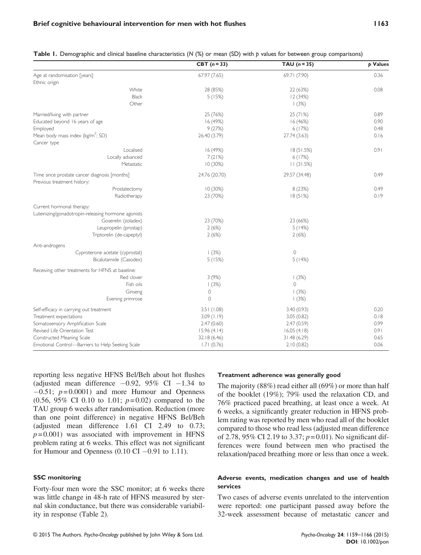|                                                                              | CBT $(n=33)$  | TAU $(n=35)$        | p Values |
|------------------------------------------------------------------------------|---------------|---------------------|----------|
| Age at randomisation [years]                                                 | 67.97 (7.65)  | 69.71 (7.90)        | 0.36     |
| Ethnic origin                                                                |               |                     |          |
| White                                                                        | 28 (85%)      | 22 (63%)            | 0.08     |
| <b>Black</b>                                                                 | 5(15%)        | 12(34%)             |          |
| Other                                                                        |               | (3%)                |          |
| Married/living with partner                                                  | 25 (76%)      | 25 (71%)            | 0.89     |
| Educated beyond 16 years of age                                              | 16(49%)       | 16(46%)             | 0.90     |
| Employed                                                                     | 9(27%)        | 6(17%)              | 0.48     |
| Mean body mass index (kg/m <sup>2</sup> ; SD)                                | 26.40 (3.79)  | 27.74 (3.63)        | 0.16     |
| Cancer type                                                                  |               |                     |          |
| Localised                                                                    | 16 (49%)      | 18(51.5%)           | 0.91     |
| Locally advanced                                                             | 7(21%)        | 6(17%)              |          |
| Metastatic                                                                   | 10(30%)       | 11(31.5%)           |          |
| Time since prostate cancer diagnosis [months]<br>Previous treatment history: | 24.76 (20.70) | 29.57 (34.48)       | 0.49     |
| Prostatectomy                                                                | 10(30%)       | 8(23%)              | 0.49     |
| Radiotherapy                                                                 | 23 (70%)      | 18(51%)             | 0.19     |
| Current hormonal therapy:                                                    |               |                     |          |
| Luteinizing/gonadotropin-releasing hormone agonists                          |               |                     |          |
| Goserelin (zoladex)                                                          | 23 (70%)      | 23 (66%)            |          |
| Leupropelin (prostap)                                                        | 2(6%)         | 5(14%)              |          |
| Triptorelin (de-capeptyl)                                                    | 2(6%)         | 2(6%)               |          |
| Anti-androgens                                                               |               |                     |          |
| Cyproterone acetate (cyprostat)                                              | (3%)          | $\mathsf{O}\xspace$ |          |
| Bicalutamide (Casodex)                                                       | 5(15%)        | 5(14%)              |          |
| Receiving other treatments for HFNS at baseline:                             |               |                     |          |
| Red clover                                                                   | 3(9%)         | (3%)                |          |
| Fish oils                                                                    | (3%)          | $\Omega$            |          |
| Ginseng                                                                      | $\circ$       | (3%)                |          |
| Evening primrose                                                             | $\Omega$      | 1(3%)               |          |
| Self-efficacy in carrying out treatment                                      | 3.51(1.08)    | 3.40(0.93)          | 0.20     |
| Treatment expectations                                                       | 3.09(1.19)    | 3.05(0.82)          | 0.18     |
| Somatosensory Amplification Scale                                            | 2.47(0.60)    | 2.47(0.59)          | 0.99     |
| Revised Life Orientation Test                                                | 15.96(4.14)   | 16.05(4.18)         | 0.91     |
| Constructed Meaning Scale                                                    | 32.18 (6.46)  | 31.48 (6.29)        | 0.65     |
| Emotional Control-Barriers to Help Seeking Scale                             | 1.71(0.76)    | 2.10(0.82)          | 0.06     |

Table I. Demographic and clinical baseline characteristics  $(N %)$  or mean  $(SD)$  with p values for between group comparisons)

reporting less negative HFNS Bel/Beh about hot flushes (adjusted mean difference  $-0.92$ ,  $95\%$  CI  $-1.34$  to  $-0.51$ ;  $p = 0.0001$ ) and more Humour and Openness  $(0.56, 95\% \text{ CI } 0.10 \text{ to } 1.01; p=0.02)$  compared to the TAU group 6 weeks after randomisation. Reduction (more than one point difference) in negative HFNS Bel/Beh (adjusted mean difference 1.61 CI 2.49 to 0.73;  $p = 0.001$ ) was associated with improvement in HFNS problem rating at 6 weeks. This effect was not significant for Humour and Openness  $(0.10 \text{ CI} - 0.91 \text{ to } 1.11)$ .

#### SSC monitoring

Forty-four men wore the SSC monitor; at 6 weeks there was little change in 48-h rate of HFNS measured by sternal skin conductance, but there was considerable variability in response (Table 2).

#### Treatment adherence was generally good

The majority (88%) read either all (69%) or more than half of the booklet (19%); 79% used the relaxation CD, and 76% practiced paced breathing, at least once a week. At 6 weeks, a significantly greater reduction in HFNS problem rating was reported by men who read all of the booklet compared to those who read less (adjusted mean difference of 2.78, 95% CI 2.19 to 3.37;  $p = 0.01$ ). No significant differences were found between men who practised the relaxation/paced breathing more or less than once a week.

#### Adverse events, medication changes and use of health services

Two cases of adverse events unrelated to the intervention were reported: one participant passed away before the 32-week assessment because of metastatic cancer and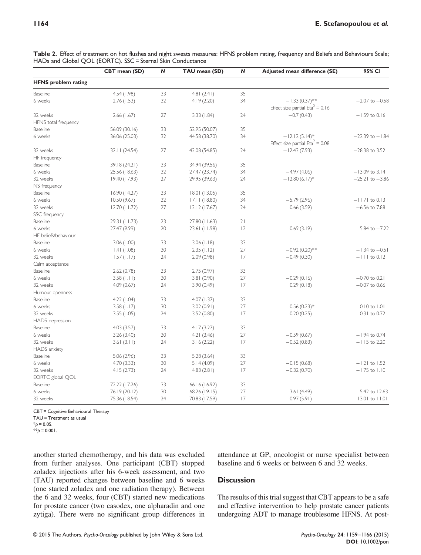|                              | CBT mean (SD) | N  | TAU mean (SD) | ${\sf N}$ | Adjusted mean difference (SE)                          | 95% CI              |
|------------------------------|---------------|----|---------------|-----------|--------------------------------------------------------|---------------------|
| <b>HFNS</b> problem rating   |               |    |               |           |                                                        |                     |
| Baseline                     | 4.54(1.98)    | 33 | 4.81(2.41)    | 35        |                                                        |                     |
| 6 weeks                      | 2.76(1.53)    | 32 | 4.19(2.20)    | 34        | $-1.33(0.37)$ **<br>Effect size partial $Eta^2 = 0.16$ | $-2.07$ to $-0.58$  |
| 32 weeks                     | 2.66(1.67)    | 27 | 3.33(1.84)    | 24        | $-0.7(0.43)$                                           | $-1.59$ to 0.16     |
| HFNS total frequency         |               |    |               |           |                                                        |                     |
| Baseline                     | 56.09 (30.16) | 33 | 52.95 (50.07) | 35        |                                                        |                     |
| 6 weeks                      | 36.06 (25.03) | 32 | 44.58 (38.70) | 34        | $-12.12(5.14)$ *                                       | $-22.39$ to $-1.84$ |
|                              |               |    |               |           | Effect size partial $Eta^2 = 0.08$                     |                     |
| 32 weeks                     | 32.11(24.54)  | 27 | 42.08 (54.85) | 24        | $-12.43(7.93)$                                         | $-28.38$ to 3.52    |
| HF frequency                 |               |    |               |           |                                                        |                     |
| Baseline                     | 39.18 (24.21) | 33 | 34.94 (39.56) | 35        |                                                        |                     |
| 6 weeks                      | 25.56 (18.63) | 32 | 27.47 (23.74) | 34        | $-4.97(4.06)$                                          | $-13.09$ to 3.14    |
| 32 weeks                     | 19.40 (17.93) | 27 | 29.95 (39.63) | 24        | $-12.80(6.17)$ *                                       | $-25.21$ to $-3.86$ |
| NS frequency                 |               |    |               |           |                                                        |                     |
| Baseline                     | 16.90(14.27)  | 33 | 18.01(13.05)  | 35        |                                                        |                     |
| 6 weeks                      | 10.50(9.67)   | 32 | 17.11(18.80)  | 34        | $-5.79(2.96)$                                          | $-11.71$ to 0.13    |
| 32 weeks                     | 12.70(11.72)  | 27 | 12.12(17.67)  | 24        | 0.66(3.59)                                             | $-6.56$ to $7.88$   |
| SSC frequency                |               |    |               |           |                                                        |                     |
| Baseline                     | 29.31 (11.73) | 23 | 27.80 (11.63) | 21        |                                                        |                     |
| 6 weeks                      | 27.47 (9.99)  | 20 | 23.61 (11.98) | 12        | 0.69(3.19)                                             | $5.84$ to $-7.22$   |
| HF beliefs/behaviour         |               |    |               |           |                                                        |                     |
| <b>Baseline</b>              | 3.06(1.00)    | 33 | 3.06(1.18)    | 33        |                                                        |                     |
| 6 weeks                      | 1.41(1.08)    | 30 | 2.35(1.12)    | 27        | $-0.92(0.20)$ **                                       | $-1.34$ to $-0.51$  |
| 32 weeks                     | 1.57(1.17)    | 24 | 2.09(0.98)    | 17        | $-0.49(0.30)$                                          | $-1.11$ to 0.12     |
| Calm acceptance              |               |    |               |           |                                                        |                     |
| Baseline                     | 2.62(0.78)    | 33 | 2.75(0.97)    | 33        |                                                        |                     |
| 6 weeks                      | 3.58(1.11)    | 30 | 3.81 (0.90)   | 27        | $-0.29(0.16)$                                          | $-0.70$ to 0.21     |
| 32 weeks                     | 4.09(0.67)    | 24 | 3.90 (0.49)   | 17        | 0.29(0.18)                                             | $-0.07$ to 0.66     |
| Humour openness              |               |    |               |           |                                                        |                     |
| Baseline                     | 4.22(1.04)    | 33 | 4.07 (1.37)   | 33        |                                                        |                     |
| 6 weeks                      | 3.58(1.17)    | 30 | 3.02(0.91)    | 27        | $0.56(0.23)*$                                          | $0.10$ to $1.01$    |
| 32 weeks                     | 3.55(1.05)    | 24 | 3.52(0.80)    | 17        | 0.20(0.25)                                             | $-0.31$ to 0.72     |
| HADS depression              |               |    |               |           |                                                        |                     |
| <b>Baseline</b>              | 4.03(3.57)    | 33 | 4.17(3.27)    | 33        |                                                        |                     |
| 6 weeks                      | 3.26(3.40)    | 30 | 4.21(3.46)    | 27        | $-0.59(0.67)$                                          | $-1.94$ to 0.74     |
| 32 weeks                     | 3.61(3.11)    | 24 | 3.16(2.22)    | 17        | $-0.52(0.83)$                                          | $-1.15$ to 2.20     |
| <b>HADS</b> anxiety          |               |    |               |           |                                                        |                     |
| Baseline                     | 5.06(2.96)    | 33 | 5.28(3.64)    | 33        |                                                        |                     |
| 6 weeks                      | 4.70(3.33)    | 30 | 5.14(4.09)    | 27        | $-0.15(0.68)$                                          | $-1.21$ to $1.52$   |
| 32 weeks                     | 4.15(2.73)    | 24 | 4.83(2.81)    | 17        | $-0.32(0.70)$                                          | $-1.75$ to $1.10$   |
|                              |               |    |               |           |                                                        |                     |
| EORTC global QOL<br>Baseline |               | 33 |               | 33        |                                                        |                     |
| 6 weeks                      | 72.22 (17.26) |    | 66.16 (16.92) |           |                                                        |                     |
|                              | 76.19 (20.12) | 30 | 68.26 (19.15) | 27        | 3.61(4.49)                                             | $-5.42$ to $12.63$  |
| 32 weeks                     | 75.36 (18.54) | 24 | 70.83 (17.59) | 17        | $-0.97(5.91)$                                          | $-13.01$ to $11.01$ |

Table 2. Effect of treatment on hot flushes and night sweats measures: HFNS problem rating, frequency and Beliefs and Behaviours Scale; HADs and Global QOL (EORTC). SSC = Sternal Skin Conductance

CBT = Cognitive Behavioural Therapy

TAU = Treatment as usual

 $*_{D} = 0.05$ .

\*\* $p = 0.001$ .

another started chemotherapy, and his data was excluded from further analyses. One participant (CBT) stopped zoladex injections after his 6-week assessment, and two (TAU) reported changes between baseline and 6 weeks (one started zoladex and one radiation therapy). Between the 6 and 32 weeks, four (CBT) started new medications for prostate cancer (two casodex, one alpharadin and one zytiga). There were no significant group differences in

attendance at GP, oncologist or nurse specialist between baseline and 6 weeks or between 6 and 32 weeks.

## **Discussion**

The results of this trial suggest that CBT appears to be a safe and effective intervention to help prostate cancer patients undergoing ADT to manage troublesome HFNS. At post-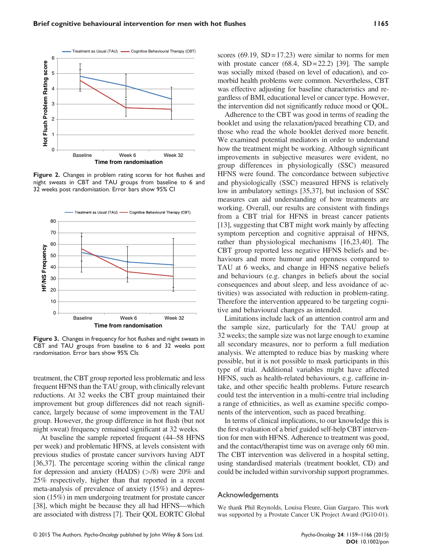

Figure 2. Changes in problem rating scores for hot flushes and night sweats in CBT and TAU groups from baseline to 6 and 32 weeks post randomisation. Error bars show 95% CI



Figure 3. Changes in frequency for hot flushes and night sweats in CBT and TAU groups from baseline to 6 and 32 weeks post randomisation. Error bars show 95% CIs

treatment, the CBT group reported less problematic and less frequent HFNS than the TAU group, with clinically relevant reductions. At 32 weeks the CBT group maintained their improvement but group differences did not reach significance, largely because of some improvement in the TAU group. However, the group difference in hot flush (but not night sweat) frequency remained significant at 32 weeks.

At baseline the sample reported frequent (44–58 HFNS per week) and problematic HFNS, at levels consistent with previous studies of prostate cancer survivors having ADT [36,37]. The percentage scoring within the clinical range for depression and anxiety (HADS) (>/8) were 20% and 25% respectively, higher than that reported in a recent meta-analysis of prevalence of anxiety (15%) and depression (15%) in men undergoing treatment for prostate cancer [38], which might be because they all had HFNS—which are associated with distress [7]. Their QOL EORTC Global

scores  $(69.19, SD = 17.23)$  were similar to norms for men with prostate cancer  $(68.4, SD = 22.2)$  [39]. The sample was socially mixed (based on level of education), and comorbid health problems were common. Nevertheless, CBT was effective adjusting for baseline characteristics and regardless of BMI, educational level or cancer type. However, the intervention did not significantly reduce mood or QOL.

Adherence to the CBT was good in terms of reading the booklet and using the relaxation/paced breathing CD, and those who read the whole booklet derived more benefit. We examined potential mediators in order to understand how the treatment might be working. Although significant improvements in subjective measures were evident, no group differences in physiologically (SSC) measured HFNS were found. The concordance between subjective and physiologically (SSC) measured HFNS is relatively low in ambulatory settings [35,37], but inclusion of SSC measures can aid understanding of how treatments are working. Overall, our results are consistent with findings from a CBT trial for HFNS in breast cancer patients [13], suggesting that CBT might work mainly by affecting symptom perception and cognitive appraisal of HFNS, rather than physiological mechanisms [16,23,40]. The CBT group reported less negative HFNS beliefs and behaviours and more humour and openness compared to TAU at 6 weeks, and change in HFNS negative beliefs and behaviours (e.g. changes in beliefs about the social consequences and about sleep, and less avoidance of activities) was associated with reduction in problem-rating. Therefore the intervention appeared to be targeting cognitive and behavioural changes as intended.

Limitations include lack of an attention control arm and the sample size, particularly for the TAU group at 32 weeks; the sample size was not large enough to examine all secondary measures, nor to perform a full mediation analysis. We attempted to reduce bias by masking where possible, but it is not possible to mask participants in this type of trial. Additional variables might have affected HFNS, such as health-related behaviours, e.g. caffeine intake, and other specific health problems. Future research could test the intervention in a multi-centre trial including a range of ethnicities, as well as examine specific components of the intervention, such as paced breathing.

In terms of clinical implications, to our knowledge this is the first evaluation of a brief guided self-help CBT intervention for men with HFNS. Adherence to treatment was good, and the contact/therapist time was on average only 60 min. The CBT intervention was delivered in a hospital setting, using standardised materials (treatment booklet, CD) and could be included within survivorship support programmes.

#### Acknowledgements

We thank Phil Reynolds, Louisa Fleure, Gian Gargaro. This work was supported by a Prostate Cancer UK Project Award (PG10-01).